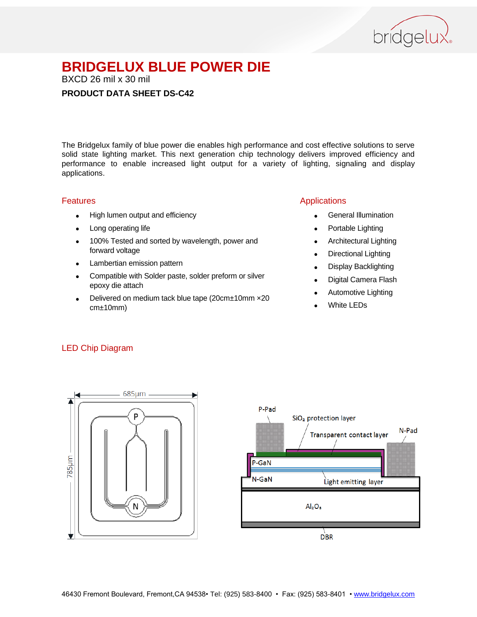

BXCD 26 mil x 30 mil

#### **PRODUCT DATA SHEET DS-C42**

The Bridgelux family of blue power die enables high performance and cost effective solutions to serve solid state lighting market. This next generation chip technology delivers improved efficiency and performance to enable increased light output for a variety of lighting, signaling and display applications.

#### Features

- High lumen output and efficiency
- Long operating life
- 100% Tested and sorted by wavelength, power and forward voltage
- Lambertian emission pattern
- Compatible with Solder paste, solder preform or silver epoxy die attach
- Delivered on medium tack blue tape (20cm±10mm ×20 cm±10mm)

#### Applications

- General Illumination
- Portable Lighting
- Architectural Lighting
- Directional Lighting
- Display Backlighting
- Digital Camera Flash
- Automotive Lighting
- White LEDs

#### LED Chip Diagram



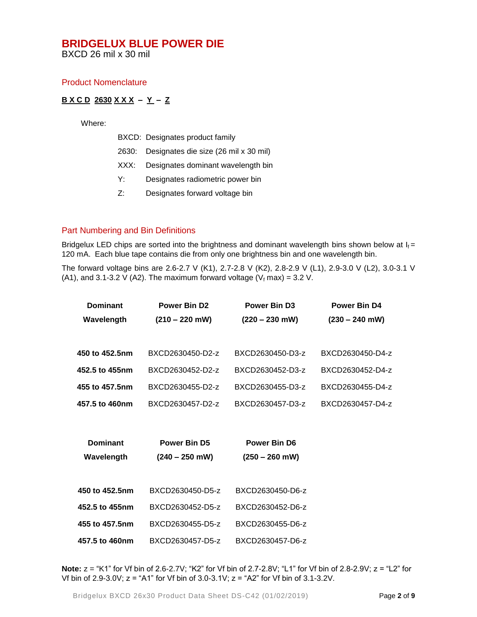BXCD 26 mil x 30 mil

#### Product Nomenclature

#### **B X C D 2630 X X X – Y – Z**

Where:

|    | BXCD: Designates product family             |
|----|---------------------------------------------|
|    | 2630: Designates die size (26 mil x 30 mil) |
|    | XXX: Designates dominant wavelength bin     |
| Y: | Designates radiometric power bin            |

- Z: Designates forward voltage bin
- 

#### Part Numbering and Bin Definitions

Bridgelux LED chips are sorted into the brightness and dominant wavelength bins shown below at  $I_f =$ 120 mA. Each blue tape contains die from only one brightness bin and one wavelength bin.

The forward voltage bins are 2.6-2.7 V (K1), 2.7-2.8 V (K2), 2.8-2.9 V (L1), 2.9-3.0 V (L2), 3.0-3.1 V (A1), and 3.1-3.2 V (A2). The maximum forward voltage ( $V_f$  max) = 3.2 V.

| <b>Dominant</b> | Power Bin D <sub>2</sub> | <b>Power Bin D3</b> | <b>Power Bin D4</b> |
|-----------------|--------------------------|---------------------|---------------------|
| Wavelength      | $(210 - 220 \text{ mV})$ | $(220 - 230$ mW)    | $(230 - 240$ mW)    |
|                 |                          |                     |                     |
| 450 to 452.5nm  | BXCD2630450-D2-z         | BXCD2630450-D3-z    | BXCD2630450-D4-z    |
| 452.5 to 455nm  | BXCD2630452-D2-z         | BXCD2630452-D3-z    | BXCD2630452-D4-z    |
| 455 to 457.5nm  | BXCD2630455-D2-z         | BXCD2630455-D3-z    | BXCD2630455-D4-z    |
| 457.5 to 460nm  | BXCD2630457-D2-z         | BXCD2630457-D3-z    | BXCD2630457-D4-z    |
|                 |                          |                     |                     |
|                 |                          |                     |                     |
| <b>Dominant</b> | <b>Power Bin D5</b>      | <b>Power Bin D6</b> |                     |
| Wavelength      | $(240 - 250$ mW)         | $(250 - 260$ mW)    |                     |
|                 |                          |                     |                     |
| 450 to 452.5nm  | BXCD2630450-D5-z         | BXCD2630450-D6-z    |                     |
| 452.5 to 455nm  | BXCD2630452-D5-z         | BXCD2630452-D6-z    |                     |
| 455 to 457.5nm  | BXCD2630455-D5-z         | BXCD2630455-D6-z    |                     |
| 457.5 to 460nm  | BXCD2630457-D5-z         | BXCD2630457-D6-z    |                     |

**Note:** z = "K1" for Vf bin of 2.6-2.7V; "K2" for Vf bin of 2.7-2.8V; "L1" for Vf bin of 2.8-2.9V; z = "L2" for Vf bin of 2.9-3.0V; z = "A1" for Vf bin of 3.0-3.1V; z = "A2" for Vf bin of 3.1-3.2V.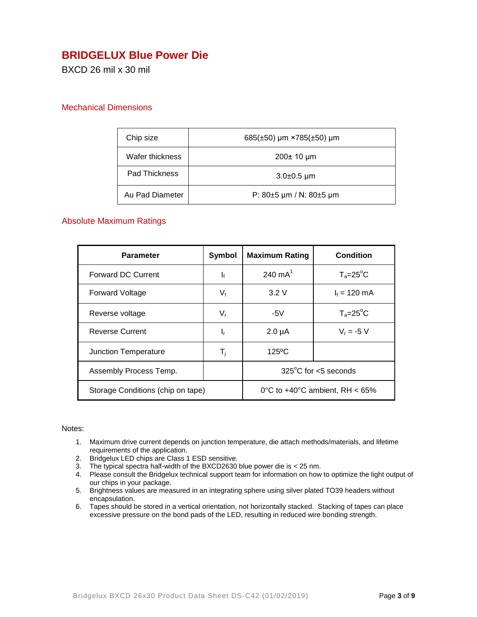## **BRIDGELUX Blue Power Die**

BXCD 26 mil x 30 mil

#### Mechanical Dimensions

| Chip size       | 685( $\pm$ 50) µm ×785( $\pm$ 50) µm |
|-----------------|--------------------------------------|
| Wafer thickness | 200± 10 µm                           |
| Pad Thickness   | $3.0 \pm 0.5$ µm                     |
| Au Pad Diameter | P: $80\pm5$ µm / N: $80\pm5$ µm      |

#### Absolute Maximum Ratings

| <b>Parameter</b>                  | <b>Symbol</b>                            | <b>Maximum Rating</b>          | Condition          |
|-----------------------------------|------------------------------------------|--------------------------------|--------------------|
| <b>Forward DC Current</b>         | $\mathbf{I}_{\text{f}}$                  | 240 $mA^1$                     | $T_a = 25^\circ C$ |
| <b>Forward Voltage</b>            | $V_{f}$                                  | 3.2V                           | $I_f = 120$ mA     |
| Reverse voltage                   | $V_{\rm r}$                              | $-5V$                          | $T_a = 25^\circ C$ |
| <b>Reverse Current</b>            | ı,                                       | $2.0 \mu A$                    | $V_r = -5 V$       |
| Junction Temperature              | T <sub>i</sub>                           | $125^{\circ}$ C                |                    |
| Assembly Process Temp.            |                                          | $325^{\circ}$ C for <5 seconds |                    |
| Storage Conditions (chip on tape) | 0°C to $+40^{\circ}$ C ambient. RH < 65% |                                |                    |

#### Notes:

- 1. Maximum drive current depends on junction temperature, die attach methods/materials, and lifetime requirements of the application.
- 2. Bridgelux LED chips are Class 1 ESD sensitive.
- 3. The typical spectra half-width of the BXCD2630 blue power die is < 25 nm.
- 4. Please consult the Bridgelux technical support team for information on how to optimize the light output of our chips in your package.
- 5. Brightness values are measured in an integrating sphere using silver plated TO39 headers without encapsulation.
- 6. Tapes should be stored in a vertical orientation, not horizontally stacked. Stacking of tapes can place excessive pressure on the bond pads of the LED, resulting in reduced wire bonding strength.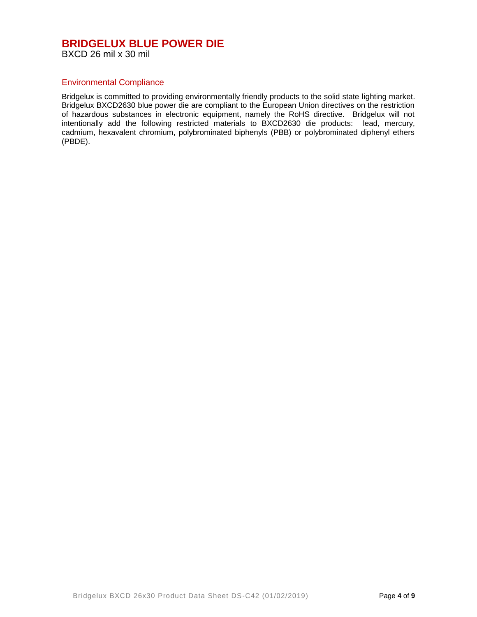#### **BRIDGELUX BLUE POWER DIE** BXCD 26 mil x 30 mil

#### Environmental Compliance

Bridgelux is committed to providing environmentally friendly products to the solid state lighting market. Bridgelux BXCD2630 blue power die are compliant to the European Union directives on the restriction of hazardous substances in electronic equipment, namely the RoHS directive. Bridgelux will not intentionally add the following restricted materials to BXCD2630 die products: lead, mercury, cadmium, hexavalent chromium, polybrominated biphenyls (PBB) or polybrominated diphenyl ethers (PBDE).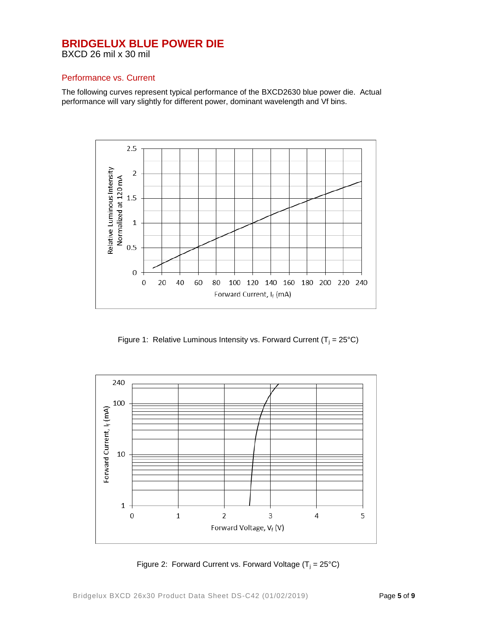BXCD 26 mil x 30 mil

#### Performance vs. Current

The following curves represent typical performance of the BXCD2630 blue power die. Actual performance will vary slightly for different power, dominant wavelength and Vf bins.



Figure 1: Relative Luminous Intensity vs. Forward Current ( $T_i = 25^{\circ}C$ )



Figure 2: Forward Current vs. Forward Voltage  $(T_i = 25^{\circ}C)$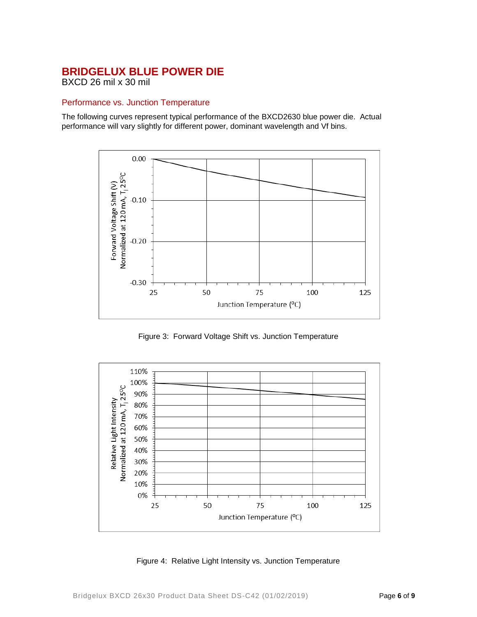BXCD 26 mil x 30 mil

#### Performance vs. Junction Temperature

The following curves represent typical performance of the BXCD2630 blue power die. Actual performance will vary slightly for different power, dominant wavelength and Vf bins.



Figure 3: Forward Voltage Shift vs. Junction Temperature



Figure 4: Relative Light Intensity vs. Junction Temperature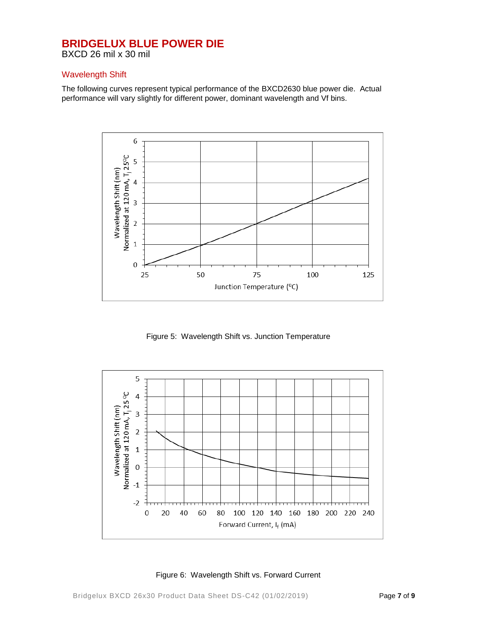BXCD 26 mil x 30 mil

#### Wavelength Shift

The following curves represent typical performance of the BXCD2630 blue power die. Actual performance will vary slightly for different power, dominant wavelength and Vf bins.



Figure 5: Wavelength Shift vs. Junction Temperature



Figure 6: Wavelength Shift vs. Forward Current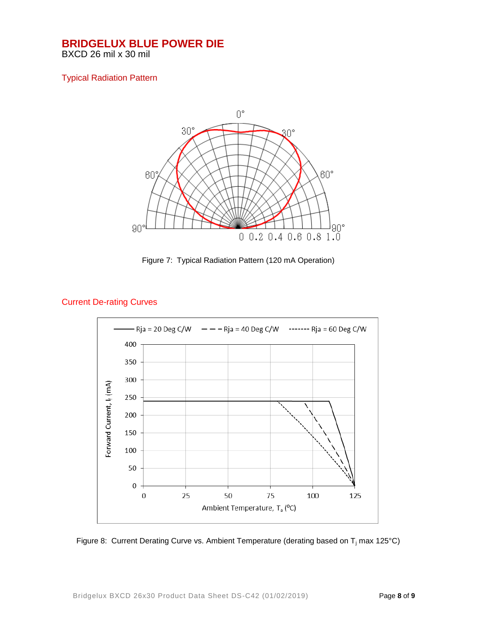BXCD 26 mil x 30 mil

#### Typical Radiation Pattern



Figure 7: Typical Radiation Pattern (120 mA Operation)

#### Current De-rating Curves